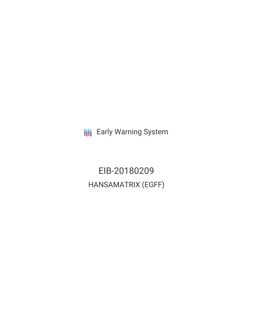**III** Early Warning System

EIB-20180209 HANSAMATRIX (EGFF)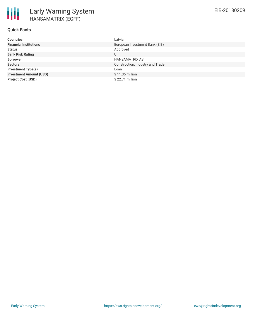## **Quick Facts**

| <b>Countries</b>               | Latvia                           |
|--------------------------------|----------------------------------|
| <b>Financial Institutions</b>  | European Investment Bank (EIB)   |
| <b>Status</b>                  | Approved                         |
| <b>Bank Risk Rating</b>        | U                                |
| <b>Borrower</b>                | <b>HANSAMATRIX AS</b>            |
| <b>Sectors</b>                 | Construction, Industry and Trade |
| <b>Investment Type(s)</b>      | Loan                             |
| <b>Investment Amount (USD)</b> | $$11.35$ million                 |
| <b>Project Cost (USD)</b>      | $$22.71$ million                 |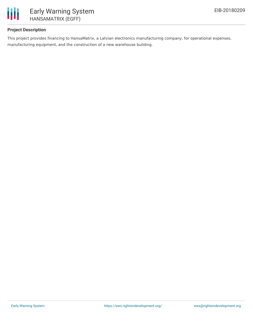

## **Project Description**

This project provides financing to HansaMatrix, a Latvian electronics manufacturing company, for operational expenses, manufacturing equipment, and the construction of a new warehouse building.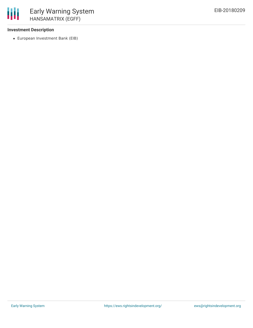### **Investment Description**

冊

European Investment Bank (EIB)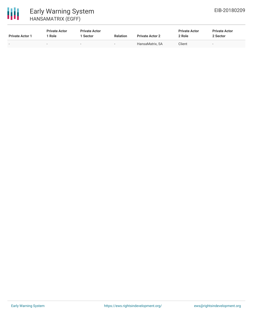

# 冊

# Early Warning System HANSAMATRIX (EGFF)

| <b>Private Actor 1</b> | <b>Private Actor</b><br>Role | <b>Private Actor</b><br>1 Sector | <b>Relation</b>          | <b>Private Actor 2</b> | <b>Private Actor</b><br>2 Role | <b>Private Actor</b><br>2 Sector |
|------------------------|------------------------------|----------------------------------|--------------------------|------------------------|--------------------------------|----------------------------------|
|                        | -                            | $\overline{\phantom{0}}$         | $\overline{\phantom{0}}$ | HansaMatrix, SA        | Client                         | $\overline{\phantom{a}}$         |